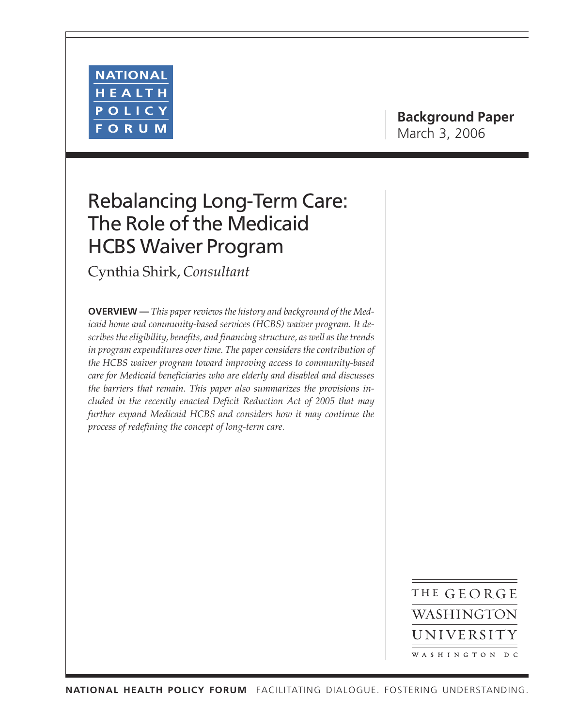

# **Background Paper** March 3, 2006

# Rebalancing Long-Term Care: The Role of the Medicaid HCBS Waiver Program

Cynthia Shirk, *Consultant*

**OVERVIEW —** *This paper reviews the history and background of the Medicaid home and community-based services (HCBS) waiver program. It describes the eligibility, benefits, and financing structure, as well as the trends in program expenditures over time. The paper considers the contribution of the HCBS waiver program toward improving access to community-based care for Medicaid beneficiaries who are elderly and disabled and discusses the barriers that remain. This paper also summarizes the provisions included in the recently enacted Deficit Reduction Act of 2005 that may further expand Medicaid HCBS and considers how it may continue the process of redefining the concept of long-term care.*

> THE GEORGE WASHINGTON UNIVERSITY WASHINGTON DC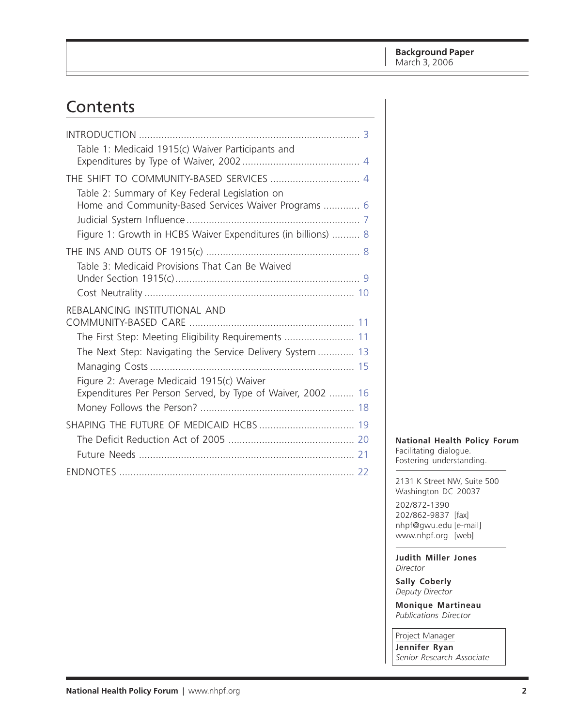# Contents

| Table 1: Medicaid 1915(c) Waiver Participants and                                                      |  |
|--------------------------------------------------------------------------------------------------------|--|
|                                                                                                        |  |
| THE SHIFT TO COMMUNITY-BASED SERVICES  4                                                               |  |
| Table 2: Summary of Key Federal Legislation on<br>Home and Community-Based Services Waiver Programs  6 |  |
|                                                                                                        |  |
| Figure 1: Growth in HCBS Waiver Expenditures (in billions)  8                                          |  |
|                                                                                                        |  |
| Table 3: Medicaid Provisions That Can Be Waived                                                        |  |
|                                                                                                        |  |
|                                                                                                        |  |
| REBALANCING INSTITUTIONAL AND                                                                          |  |
|                                                                                                        |  |
| The First Step: Meeting Eligibility Requirements  11                                                   |  |
| The Next Step: Navigating the Service Delivery System  13                                              |  |
|                                                                                                        |  |
| Figure 2: Average Medicaid 1915(c) Waiver                                                              |  |
| Expenditures Per Person Served, by Type of Waiver, 2002  16                                            |  |
|                                                                                                        |  |
|                                                                                                        |  |
|                                                                                                        |  |
|                                                                                                        |  |
|                                                                                                        |  |
|                                                                                                        |  |

**National Health Policy Forum** Facilitating dialogue.

Fostering understanding.

2131 K Street NW, Suite 500 Washington DC 20037

202/872-1390 202/862-9837 [fax] nhpf@gwu.edu [e-mail] www.nhpf.org [web]

**Judith Miller Jones** *Director*

**Sally Coberly** *Deputy Director*

**Monique Martineau** *Publications Director*

Project Manager

**Jennifer Ryan** *Senior Research Associate*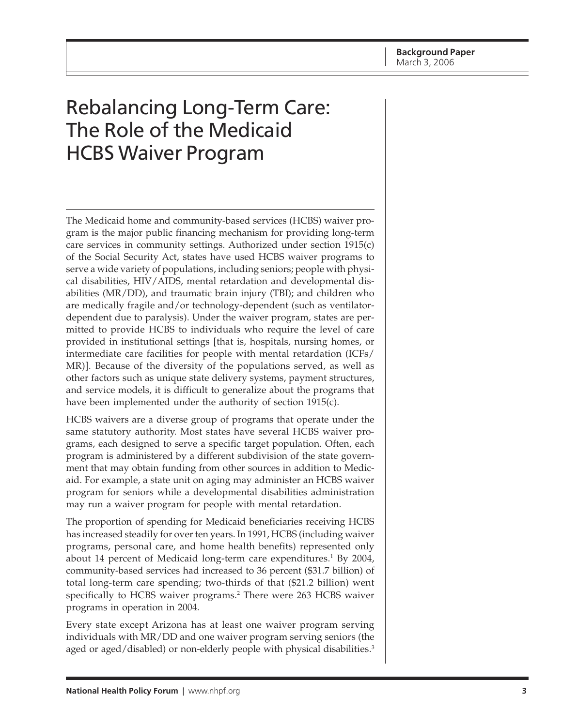# <span id="page-2-0"></span>Rebalancing Long-Term Care: The Role of the Medicaid HCBS Waiver Program

The Medicaid home and community-based services (HCBS) waiver program is the major public financing mechanism for providing long-term care services in community settings. Authorized under section 1915(c) of the Social Security Act, states have used HCBS waiver programs to serve a wide variety of populations, including seniors; people with physical disabilities, HIV/AIDS, mental retardation and developmental disabilities (MR/DD), and traumatic brain injury (TBI); and children who are medically fragile and/or technology-dependent (such as ventilatordependent due to paralysis). Under the waiver program, states are permitted to provide HCBS to individuals who require the level of care provided in institutional settings [that is, hospitals, nursing homes, or intermediate care facilities for people with mental retardation (ICFs/ MR)]. Because of the diversity of the populations served, as well as other factors such as unique state delivery systems, payment structures, and service models, it is difficult to generalize about the programs that have been implemented under the authority of section 1915(c).

HCBS waivers are a diverse group of programs that operate under the same statutory authority. Most states have several HCBS waiver programs, each designed to serve a specific target population. Often, each program is administered by a different subdivision of the state government that may obtain funding from other sources in addition to Medicaid. For example, a state unit on aging may administer an HCBS waiver program for seniors while a developmental disabilities administration may run a waiver program for people with mental retardation.

The proportion of spending for Medicaid beneficiaries receiving HCBS has increased steadily for over ten years. In 1991, HCBS (including waiver programs, personal care, and home health benefits) represented only about 14 percent of Medicaid long-term care expenditures.<sup>1</sup> By 2004, community-based services had increased to 36 percent (\$31.7 billion) of total long-term care spending; two-thirds of that (\$21.2 billion) went specifically to HCBS waiver programs.2 There were 263 HCBS waiver programs in operation in 2004.

Every state except Arizona has at least one waiver program serving individuals with MR/DD and one waiver program serving seniors (the aged or aged/disabled) or non-elderly people with physical disabilities.<sup>3</sup>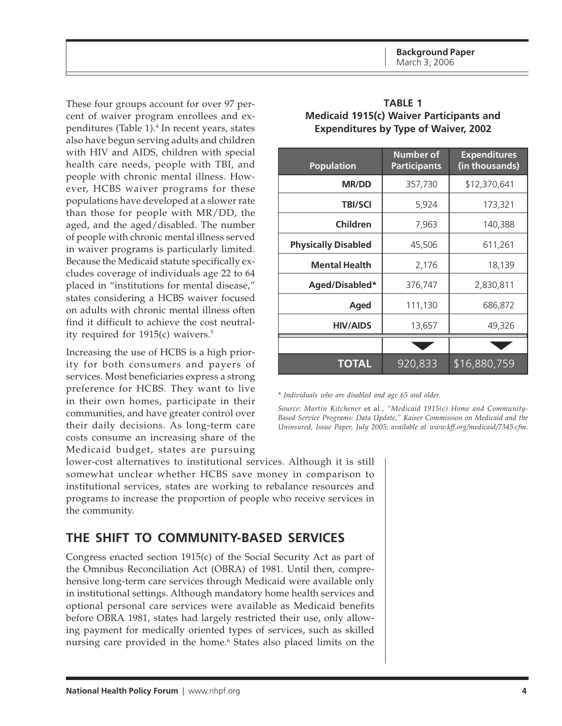<span id="page-3-0"></span>These four groups account for over 97 percent of waiver program enrollees and expenditures (Table 1).<sup>4</sup> In recent years, states also have begun serving adults and children with HIV and AIDS, children with special health care needs, people with TBI, and people with chronic mental illness. However, HCBS waiver programs for these populations have developed at a slower rate than those for people with MR/DD, the aged, and the aged/disabled. The number of people with chronic mental illness served in waiver programs is particularly limited. Because the Medicaid statute specifically excludes coverage of individuals age 22 to 64 placed in "institutions for mental disease," states considering a HCBS waiver focused on adults with chronic mental illness often find it difficult to achieve the cost neutrality required for 1915(c) waivers.5

Increasing the use of HCBS is a high priority for both consumers and payers of services. Most beneficiaries express a strong preference for HCBS. They want to live in their own homes, participate in their communities, and have greater control over their daily decisions. As long-term care costs consume an increasing share of the Medicaid budget, states are pursuing

| <b>Population</b>          | <b>Number of</b><br><b>Participants</b> | <b>Expenditures</b><br>(in thousands) |
|----------------------------|-----------------------------------------|---------------------------------------|
| <b>MR/DD</b>               | 357,730                                 | \$12,370,641                          |
| <b>TBI/SCI</b>             | 5,924                                   | 173,321                               |
| Children                   | 7,963                                   | 140,388                               |
| <b>Physically Disabled</b> | 45,506                                  | 611,261                               |
| <b>Mental Health</b>       | 2,176                                   | 18,139                                |
| Aged/Disabled*             | 376,747                                 | 2,830,811                             |
| Aged                       | 111,130                                 | 686,872                               |
| <b>HIV/AIDS</b>            | 13,657                                  | 49,326                                |
|                            |                                         |                                       |
| <b>TOTAL</b>               | 920,833                                 | \$16,880,759                          |

| <b>TABLE 1</b>                              |
|---------------------------------------------|
| Medicaid 1915(c) Waiver Participants and    |
| <b>Expenditures by Type of Waiver, 2002</b> |

*\* Individuals who are disabled and age 65 and older.*

*Source: Martin Kitchener* et al.*, "Medicaid 1915(c) Home and Community-Based Service Programs: Data Update," Kaiser Commission on Medicaid and the Uninsured, Issue Paper, July 2005; available at www.kff.org/medicaid/7345.cfm.*

lower-cost alternatives to institutional services. Although it is still somewhat unclear whether HCBS save money in comparison to institutional services, states are working to rebalance resources and programs to increase the proportion of people who receive services in the community.

## **THE SHIFT TO COMMUNITY-BASED SERVICES**

Congress enacted section 1915(c) of the Social Security Act as part of the Omnibus Reconciliation Act (OBRA) of 1981. Until then, comprehensive long-term care services through Medicaid were available only in institutional settings. Although mandatory home health services and optional personal care services were available as Medicaid benefits before OBRA 1981, states had largely restricted their use, only allowing payment for medically oriented types of services, such as skilled nursing care provided in the home.6 States also placed limits on the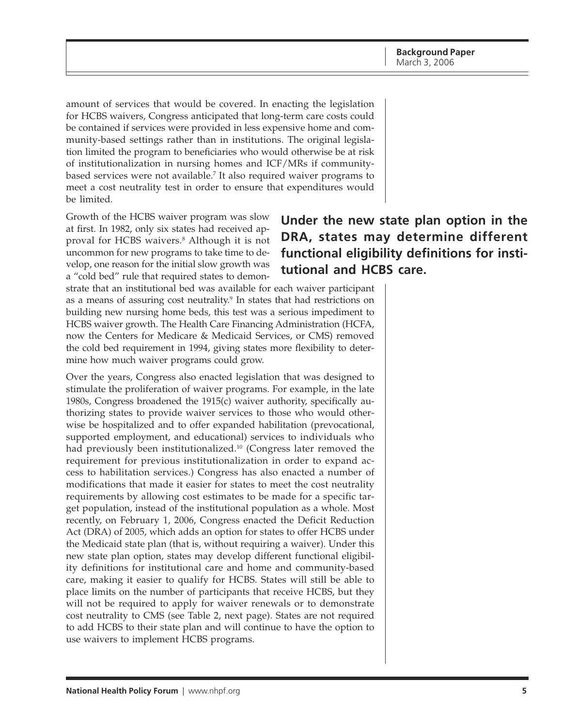amount of services that would be covered. In enacting the legislation for HCBS waivers, Congress anticipated that long-term care costs could be contained if services were provided in less expensive home and community-based settings rather than in institutions. The original legislation limited the program to beneficiaries who would otherwise be at risk of institutionalization in nursing homes and ICF/MRs if communitybased services were not available.7 It also required waiver programs to meet a cost neutrality test in order to ensure that expenditures would be limited.

Growth of the HCBS waiver program was slow at first. In 1982, only six states had received approval for HCBS waivers.8 Although it is not uncommon for new programs to take time to develop, one reason for the initial slow growth was a "cold bed" rule that required states to demon-

# **Under the new state plan option in the DRA, states may determine different functional eligibility definitions for institutional and HCBS care.**

strate that an institutional bed was available for each waiver participant as a means of assuring cost neutrality.<sup>9</sup> In states that had restrictions on building new nursing home beds, this test was a serious impediment to HCBS waiver growth. The Health Care Financing Administration (HCFA, now the Centers for Medicare & Medicaid Services, or CMS) removed the cold bed requirement in 1994, giving states more flexibility to determine how much waiver programs could grow.

Over the years, Congress also enacted legislation that was designed to stimulate the proliferation of waiver programs. For example, in the late 1980s, Congress broadened the 1915(c) waiver authority, specifically authorizing states to provide waiver services to those who would otherwise be hospitalized and to offer expanded habilitation (prevocational, supported employment, and educational) services to individuals who had previously been institutionalized.<sup>10</sup> (Congress later removed the requirement for previous institutionalization in order to expand access to habilitation services.) Congress has also enacted a number of modifications that made it easier for states to meet the cost neutrality requirements by allowing cost estimates to be made for a specific target population, instead of the institutional population as a whole. Most recently, on February 1, 2006, Congress enacted the Deficit Reduction Act (DRA) of 2005, which adds an option for states to offer HCBS under the Medicaid state plan (that is, without requiring a waiver). Under this new state plan option, states may develop different functional eligibility definitions for institutional care and home and community-based care, making it easier to qualify for HCBS. States will still be able to place limits on the number of participants that receive HCBS, but they will not be required to apply for waiver renewals or to demonstrate cost neutrality to CMS (see Table 2, next page). States are not required to add HCBS to their state plan and will continue to have the option to use waivers to implement HCBS programs.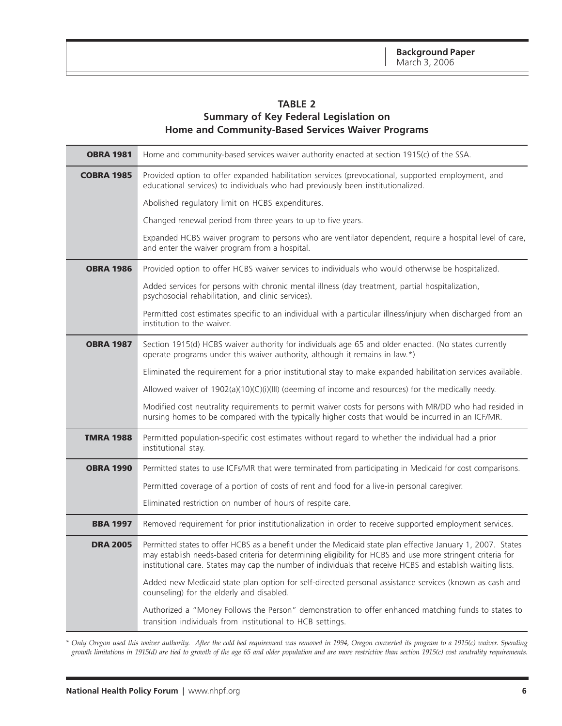#### **TABLE 2**

#### **Summary of Key Federal Legislation on Home and Community-Based Services Waiver Programs**

<span id="page-5-0"></span>

| <b>OBRA 1981</b>  | Home and community-based services waiver authority enacted at section 1915(c) of the SSA.                                                                                                                                                                                                                                                 |  |  |
|-------------------|-------------------------------------------------------------------------------------------------------------------------------------------------------------------------------------------------------------------------------------------------------------------------------------------------------------------------------------------|--|--|
| <b>COBRA 1985</b> | Provided option to offer expanded habilitation services (prevocational, supported employment, and<br>educational services) to individuals who had previously been institutionalized.                                                                                                                                                      |  |  |
|                   | Abolished regulatory limit on HCBS expenditures.                                                                                                                                                                                                                                                                                          |  |  |
|                   | Changed renewal period from three years to up to five years.                                                                                                                                                                                                                                                                              |  |  |
|                   | Expanded HCBS waiver program to persons who are ventilator dependent, require a hospital level of care,<br>and enter the waiver program from a hospital.                                                                                                                                                                                  |  |  |
| <b>OBRA 1986</b>  | Provided option to offer HCBS waiver services to individuals who would otherwise be hospitalized.                                                                                                                                                                                                                                         |  |  |
|                   | Added services for persons with chronic mental illness (day treatment, partial hospitalization,<br>psychosocial rehabilitation, and clinic services).                                                                                                                                                                                     |  |  |
|                   | Permitted cost estimates specific to an individual with a particular illness/injury when discharged from an<br>institution to the waiver.                                                                                                                                                                                                 |  |  |
| <b>OBRA 1987</b>  | Section 1915(d) HCBS waiver authority for individuals age 65 and older enacted. (No states currently<br>operate programs under this waiver authority, although it remains in law.*)                                                                                                                                                       |  |  |
|                   | Eliminated the requirement for a prior institutional stay to make expanded habilitation services available.                                                                                                                                                                                                                               |  |  |
|                   | Allowed waiver of 1902(a)(10)(C)(i)(III) (deeming of income and resources) for the medically needy.                                                                                                                                                                                                                                       |  |  |
|                   | Modified cost neutrality requirements to permit waiver costs for persons with MR/DD who had resided in<br>nursing homes to be compared with the typically higher costs that would be incurred in an ICF/MR.                                                                                                                               |  |  |
| <b>TMRA 1988</b>  | Permitted population-specific cost estimates without regard to whether the individual had a prior<br>institutional stay.                                                                                                                                                                                                                  |  |  |
| <b>OBRA 1990</b>  | Permitted states to use ICFs/MR that were terminated from participating in Medicaid for cost comparisons.                                                                                                                                                                                                                                 |  |  |
|                   | Permitted coverage of a portion of costs of rent and food for a live-in personal caregiver.                                                                                                                                                                                                                                               |  |  |
|                   | Eliminated restriction on number of hours of respite care.                                                                                                                                                                                                                                                                                |  |  |
| <b>BBA 1997</b>   | Removed requirement for prior institutionalization in order to receive supported employment services.                                                                                                                                                                                                                                     |  |  |
| <b>DRA 2005</b>   | Permitted states to offer HCBS as a benefit under the Medicaid state plan effective January 1, 2007. States<br>may establish needs-based criteria for determining eligibility for HCBS and use more stringent criteria for<br>institutional care. States may cap the number of individuals that receive HCBS and establish waiting lists. |  |  |
|                   | Added new Medicaid state plan option for self-directed personal assistance services (known as cash and<br>counseling) for the elderly and disabled.                                                                                                                                                                                       |  |  |
|                   | Authorized a "Money Follows the Person" demonstration to offer enhanced matching funds to states to<br>transition individuals from institutional to HCB settings.                                                                                                                                                                         |  |  |

*\* Only Oregon used this waiver authority. After the cold bed requirement was removed in 1994, Oregon converted its program to a 1915(c) waiver. Spending growth limitations in 1915(d) are tied to growth of the age 65 and older population and are more restrictive than section 1915(c) cost neutrality requirements.*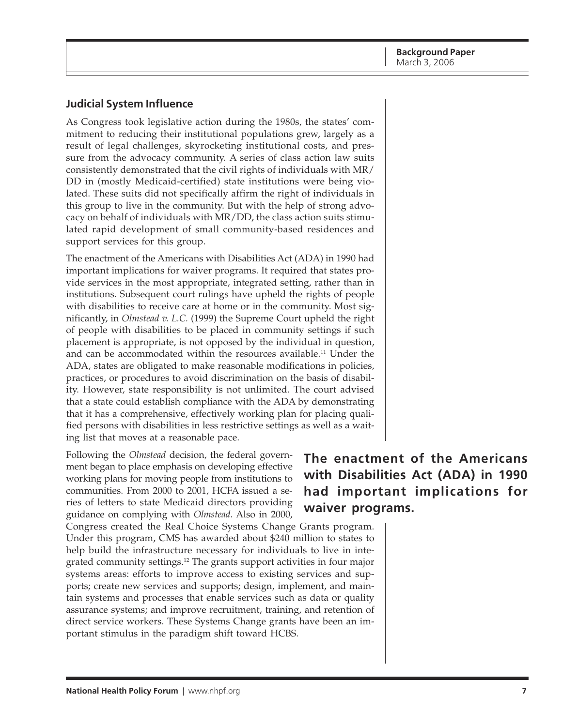**Background Paper** March 3, 2006

#### <span id="page-6-0"></span>**Judicial System Influence**

As Congress took legislative action during the 1980s, the states' commitment to reducing their institutional populations grew, largely as a result of legal challenges, skyrocketing institutional costs, and pressure from the advocacy community. A series of class action law suits consistently demonstrated that the civil rights of individuals with MR/ DD in (mostly Medicaid-certified) state institutions were being violated. These suits did not specifically affirm the right of individuals in this group to live in the community. But with the help of strong advocacy on behalf of individuals with MR/DD, the class action suits stimulated rapid development of small community-based residences and support services for this group.

The enactment of the Americans with Disabilities Act (ADA) in 1990 had important implications for waiver programs. It required that states provide services in the most appropriate, integrated setting, rather than in institutions. Subsequent court rulings have upheld the rights of people with disabilities to receive care at home or in the community. Most significantly, in *Olmstead v. L.C.* (1999) the Supreme Court upheld the right of people with disabilities to be placed in community settings if such placement is appropriate, is not opposed by the individual in question, and can be accommodated within the resources available.<sup>11</sup> Under the ADA, states are obligated to make reasonable modifications in policies, practices, or procedures to avoid discrimination on the basis of disability. However, state responsibility is not unlimited. The court advised that a state could establish compliance with the ADA by demonstrating that it has a comprehensive, effectively working plan for placing qualified persons with disabilities in less restrictive settings as well as a waiting list that moves at a reasonable pace.

Following the *Olmstead* decision, the federal government began to place emphasis on developing effective working plans for moving people from institutions to communities. From 2000 to 2001, HCFA issued a series of letters to state Medicaid directors providing guidance on complying with *Olmstead*. Also in 2000,

Congress created the Real Choice Systems Change Grants program. Under this program, CMS has awarded about \$240 million to states to help build the infrastructure necessary for individuals to live in integrated community settings.12 The grants support activities in four major systems areas: efforts to improve access to existing services and supports; create new services and supports; design, implement, and maintain systems and processes that enable services such as data or quality assurance systems; and improve recruitment, training, and retention of direct service workers. These Systems Change grants have been an important stimulus in the paradigm shift toward HCBS.

# **The enactment of the Americans with Disabilities Act (ADA) in 1990 had important implications for waiver programs.**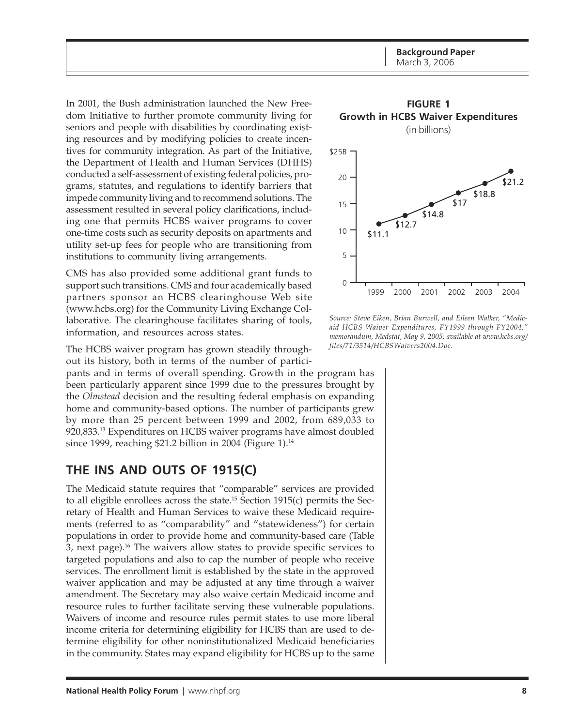<span id="page-7-0"></span>In 2001, the Bush administration launched the New Freedom Initiative to further promote community living for seniors and people with disabilities by coordinating existing resources and by modifying policies to create incentives for community integration. As part of the Initiative, the Department of Health and Human Services (DHHS) conducted a self-assessment of existing federal policies, programs, statutes, and regulations to identify barriers that impede community living and to recommend solutions. The assessment resulted in several policy clarifications, including one that permits HCBS waiver programs to cover one-time costs such as security deposits on apartments and utility set-up fees for people who are transitioning from institutions to community living arrangements.

CMS has also provided some additional grant funds to support such transitions. CMS and four academically based partners sponsor an HCBS clearinghouse Web site (www.hcbs.org) for the Community Living Exchange Collaborative. The clearinghouse facilitates sharing of tools, information, and resources across states.

The HCBS waiver program has grown steadily throughout its history, both in terms of the number of partici-

pants and in terms of overall spending. Growth in the program has been particularly apparent since 1999 due to the pressures brought by the *Olmstead* decision and the resulting federal emphasis on expanding home and community-based options. The number of participants grew by more than 25 percent between 1999 and 2002, from 689,033 to 920,833.13 Expenditures on HCBS waiver programs have almost doubled since 1999, reaching \$21.2 billion in 2004 (Figure 1).<sup>14</sup>

## **THE INS AND OUTS OF 1915(C)**

The Medicaid statute requires that "comparable" services are provided to all eligible enrollees across the state.15 Section 1915(c) permits the Secretary of Health and Human Services to waive these Medicaid requirements (referred to as "comparability" and "statewideness") for certain populations in order to provide home and community-based care (Table 3, next page).16 The waivers allow states to provide specific services to targeted populations and also to cap the number of people who receive services. The enrollment limit is established by the state in the approved waiver application and may be adjusted at any time through a waiver amendment. The Secretary may also waive certain Medicaid income and resource rules to further facilitate serving these vulnerable populations. Waivers of income and resource rules permit states to use more liberal income criteria for determining eligibility for HCBS than are used to determine eligibility for other noninstitutionalized Medicaid beneficiaries in the community. States may expand eligibility for HCBS up to the same



*Source: Steve Eiken, Brian Burwell, and Eileen Walker, "Medicaid HCBS Waiver Expenditures, FY1999 through FY2004," memorandum, Medstat, May 9, 2005; available at www.hcbs.org/ files/71/3514/HCBSWaivers2004.Doc.*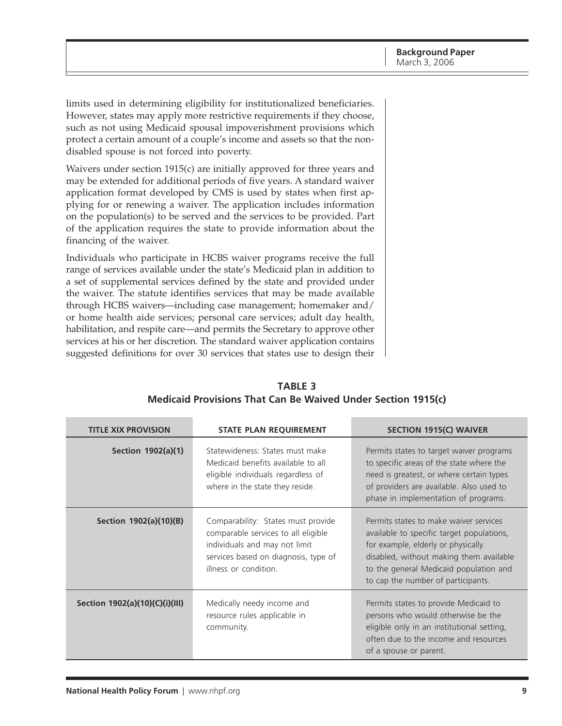<span id="page-8-0"></span>limits used in determining eligibility for institutionalized beneficiaries. However, states may apply more restrictive requirements if they choose, such as not using Medicaid spousal impoverishment provisions which protect a certain amount of a couple's income and assets so that the nondisabled spouse is not forced into poverty.

Waivers under section 1915(c) are initially approved for three years and may be extended for additional periods of five years. A standard waiver application format developed by CMS is used by states when first applying for or renewing a waiver. The application includes information on the population(s) to be served and the services to be provided. Part of the application requires the state to provide information about the financing of the waiver.

Individuals who participate in HCBS waiver programs receive the full range of services available under the state's Medicaid plan in addition to a set of supplemental services defined by the state and provided under the waiver. The statute identifies services that may be made available through HCBS waivers—including case management; homemaker and/ or home health aide services; personal care services; adult day health, habilitation, and respite care—and permits the Secretary to approve other services at his or her discretion. The standard waiver application contains suggested definitions for over 30 services that states use to design their

| <b>TITLE XIX PROVISION</b><br><b>STATE PLAN REQUIREMENT</b> |                                                                                                                                                                             | SECTION 1915(C) WAIVER                                                                                                                                                                                                                               |
|-------------------------------------------------------------|-----------------------------------------------------------------------------------------------------------------------------------------------------------------------------|------------------------------------------------------------------------------------------------------------------------------------------------------------------------------------------------------------------------------------------------------|
| Section 1902(a)(1)                                          | Statewideness: States must make<br>Medicaid benefits available to all<br>eligible individuals regardless of<br>where in the state they reside.                              | Permits states to target waiver programs<br>to specific areas of the state where the<br>need is greatest, or where certain types<br>of providers are available. Also used to<br>phase in implementation of programs.                                 |
| Section 1902(a)(10)(B)                                      | Comparability: States must provide<br>comparable services to all eligible<br>individuals and may not limit<br>services based on diagnosis, type of<br>illness or condition. | Permits states to make waiver services<br>available to specific target populations,<br>for example, elderly or physically<br>disabled, without making them available<br>to the general Medicaid population and<br>to cap the number of participants. |
| Section 1902(a)(10)(C)(i)(III)                              | Medically needy income and<br>resource rules applicable in<br>community.                                                                                                    | Permits states to provide Medicaid to<br>persons who would otherwise be the<br>eligible only in an institutional setting,<br>often due to the income and resources<br>of a spouse or parent.                                                         |

#### **TABLE 3 Medicaid Provisions That Can Be Waived Under Section 1915(c)**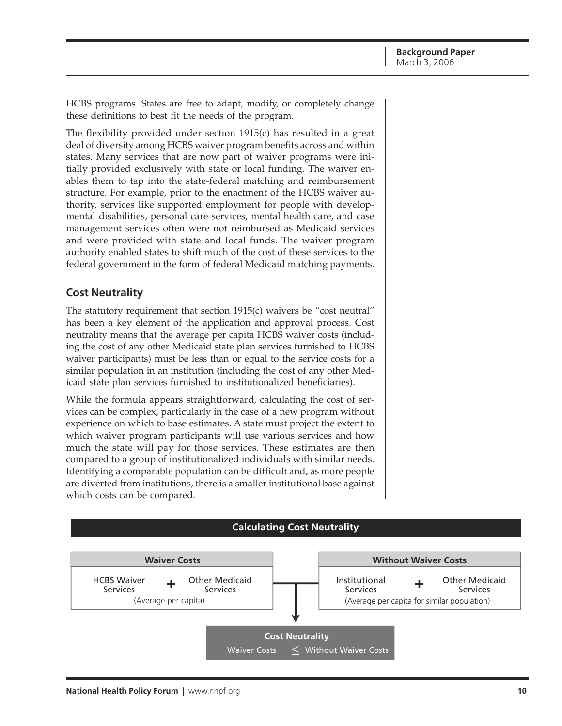<span id="page-9-0"></span>HCBS programs. States are free to adapt, modify, or completely change these definitions to best fit the needs of the program.

The flexibility provided under section 1915(c) has resulted in a great deal of diversity among HCBS waiver program benefits across and within states. Many services that are now part of waiver programs were initially provided exclusively with state or local funding. The waiver enables them to tap into the state-federal matching and reimbursement structure. For example, prior to the enactment of the HCBS waiver authority, services like supported employment for people with developmental disabilities, personal care services, mental health care, and case management services often were not reimbursed as Medicaid services and were provided with state and local funds. The waiver program authority enabled states to shift much of the cost of these services to the federal government in the form of federal Medicaid matching payments.

#### **Cost Neutrality**

The statutory requirement that section 1915(c) waivers be "cost neutral" has been a key element of the application and approval process. Cost neutrality means that the average per capita HCBS waiver costs (including the cost of any other Medicaid state plan services furnished to HCBS waiver participants) must be less than or equal to the service costs for a similar population in an institution (including the cost of any other Medicaid state plan services furnished to institutionalized beneficiaries).

While the formula appears straightforward, calculating the cost of services can be complex, particularly in the case of a new program without experience on which to base estimates. A state must project the extent to which waiver program participants will use various services and how much the state will pay for those services. These estimates are then compared to a group of institutionalized individuals with similar needs. Identifying a comparable population can be difficult and, as more people are diverted from institutions, there is a smaller institutional base against which costs can be compared.

#### **Calculating Cost Neutrality**

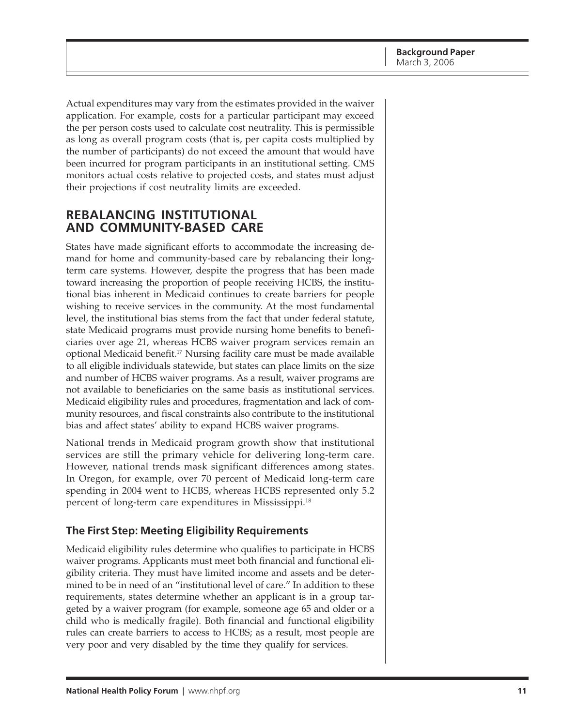<span id="page-10-0"></span>Actual expenditures may vary from the estimates provided in the waiver application. For example, costs for a particular participant may exceed the per person costs used to calculate cost neutrality. This is permissible as long as overall program costs (that is, per capita costs multiplied by the number of participants) do not exceed the amount that would have been incurred for program participants in an institutional setting. CMS monitors actual costs relative to projected costs, and states must adjust their projections if cost neutrality limits are exceeded.

## **REBALANCING INSTITUTIONAL AND COMMUNITY-BASED CARE**

States have made significant efforts to accommodate the increasing demand for home and community-based care by rebalancing their longterm care systems. However, despite the progress that has been made toward increasing the proportion of people receiving HCBS, the institutional bias inherent in Medicaid continues to create barriers for people wishing to receive services in the community. At the most fundamental level, the institutional bias stems from the fact that under federal statute, state Medicaid programs must provide nursing home benefits to beneficiaries over age 21, whereas HCBS waiver program services remain an optional Medicaid benefit.17 Nursing facility care must be made available to all eligible individuals statewide, but states can place limits on the size and number of HCBS waiver programs. As a result, waiver programs are not available to beneficiaries on the same basis as institutional services. Medicaid eligibility rules and procedures, fragmentation and lack of community resources, and fiscal constraints also contribute to the institutional bias and affect states' ability to expand HCBS waiver programs.

National trends in Medicaid program growth show that institutional services are still the primary vehicle for delivering long-term care. However, national trends mask significant differences among states. In Oregon, for example, over 70 percent of Medicaid long-term care spending in 2004 went to HCBS, whereas HCBS represented only 5.2 percent of long-term care expenditures in Mississippi.18

### **The First Step: Meeting Eligibility Requirements**

Medicaid eligibility rules determine who qualifies to participate in HCBS waiver programs. Applicants must meet both financial and functional eligibility criteria. They must have limited income and assets and be determined to be in need of an "institutional level of care." In addition to these requirements, states determine whether an applicant is in a group targeted by a waiver program (for example, someone age 65 and older or a child who is medically fragile). Both financial and functional eligibility rules can create barriers to access to HCBS; as a result, most people are very poor and very disabled by the time they qualify for services.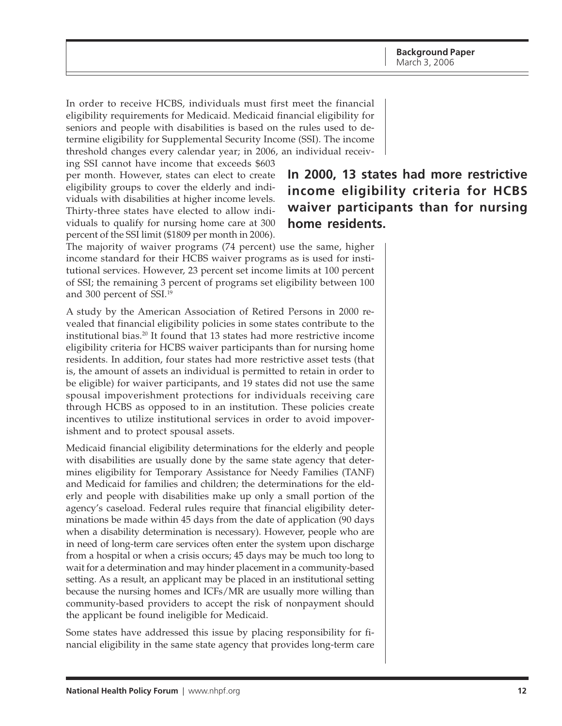In order to receive HCBS, individuals must first meet the financial eligibility requirements for Medicaid. Medicaid financial eligibility for seniors and people with disabilities is based on the rules used to determine eligibility for Supplemental Security Income (SSI). The income threshold changes every calendar year; in 2006, an individual receiv-

ing SSI cannot have income that exceeds \$603 per month. However, states can elect to create eligibility groups to cover the elderly and individuals with disabilities at higher income levels. Thirty-three states have elected to allow individuals to qualify for nursing home care at 300 percent of the SSI limit (\$1809 per month in 2006).

# **In 2000, 13 states had more restrictive income eligibility criteria for HCBS waiver participants than for nursing home residents.**

The majority of waiver programs (74 percent) use the same, higher income standard for their HCBS waiver programs as is used for institutional services. However, 23 percent set income limits at 100 percent of SSI; the remaining 3 percent of programs set eligibility between 100 and 300 percent of SSI.<sup>19</sup>

A study by the American Association of Retired Persons in 2000 revealed that financial eligibility policies in some states contribute to the institutional bias.20 It found that 13 states had more restrictive income eligibility criteria for HCBS waiver participants than for nursing home residents. In addition, four states had more restrictive asset tests (that is, the amount of assets an individual is permitted to retain in order to be eligible) for waiver participants, and 19 states did not use the same spousal impoverishment protections for individuals receiving care through HCBS as opposed to in an institution. These policies create incentives to utilize institutional services in order to avoid impoverishment and to protect spousal assets.

Medicaid financial eligibility determinations for the elderly and people with disabilities are usually done by the same state agency that determines eligibility for Temporary Assistance for Needy Families (TANF) and Medicaid for families and children; the determinations for the elderly and people with disabilities make up only a small portion of the agency's caseload. Federal rules require that financial eligibility determinations be made within 45 days from the date of application (90 days when a disability determination is necessary). However, people who are in need of long-term care services often enter the system upon discharge from a hospital or when a crisis occurs; 45 days may be much too long to wait for a determination and may hinder placement in a community-based setting. As a result, an applicant may be placed in an institutional setting because the nursing homes and ICFs/MR are usually more willing than community-based providers to accept the risk of nonpayment should the applicant be found ineligible for Medicaid.

Some states have addressed this issue by placing responsibility for financial eligibility in the same state agency that provides long-term care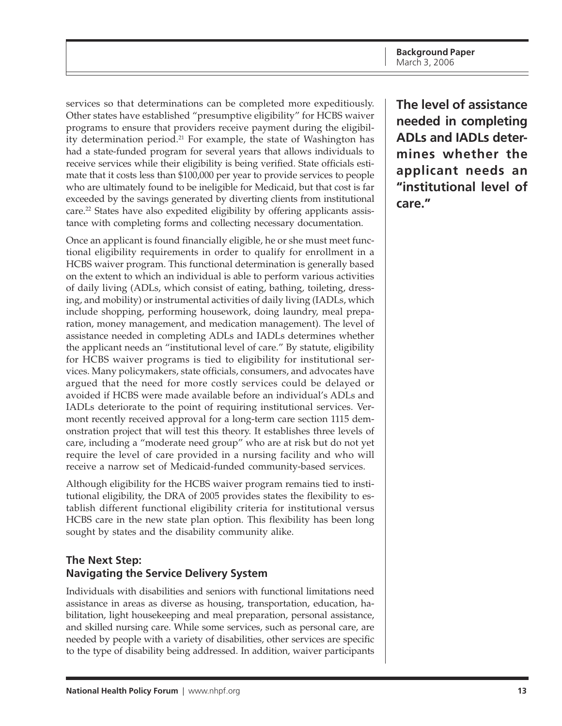<span id="page-12-0"></span>services so that determinations can be completed more expeditiously. Other states have established "presumptive eligibility" for HCBS waiver programs to ensure that providers receive payment during the eligibility determination period.<sup>21</sup> For example, the state of Washington has had a state-funded program for several years that allows individuals to receive services while their eligibility is being verified. State officials estimate that it costs less than \$100,000 per year to provide services to people who are ultimately found to be ineligible for Medicaid, but that cost is far exceeded by the savings generated by diverting clients from institutional care.<sup>22</sup> States have also expedited eligibility by offering applicants assistance with completing forms and collecting necessary documentation.

Once an applicant is found financially eligible, he or she must meet functional eligibility requirements in order to qualify for enrollment in a HCBS waiver program. This functional determination is generally based on the extent to which an individual is able to perform various activities of daily living (ADLs, which consist of eating, bathing, toileting, dressing, and mobility) or instrumental activities of daily living (IADLs, which include shopping, performing housework, doing laundry, meal preparation, money management, and medication management). The level of assistance needed in completing ADLs and IADLs determines whether the applicant needs an "institutional level of care." By statute, eligibility for HCBS waiver programs is tied to eligibility for institutional services. Many policymakers, state officials, consumers, and advocates have argued that the need for more costly services could be delayed or avoided if HCBS were made available before an individual's ADLs and IADLs deteriorate to the point of requiring institutional services. Vermont recently received approval for a long-term care section 1115 demonstration project that will test this theory. It establishes three levels of care, including a "moderate need group" who are at risk but do not yet require the level of care provided in a nursing facility and who will receive a narrow set of Medicaid-funded community-based services.

Although eligibility for the HCBS waiver program remains tied to institutional eligibility, the DRA of 2005 provides states the flexibility to establish different functional eligibility criteria for institutional versus HCBS care in the new state plan option. This flexibility has been long sought by states and the disability community alike.

### **The Next Step: Navigating the Service Delivery System**

Individuals with disabilities and seniors with functional limitations need assistance in areas as diverse as housing, transportation, education, habilitation, light housekeeping and meal preparation, personal assistance, and skilled nursing care. While some services, such as personal care, are needed by people with a variety of disabilities, other services are specific to the type of disability being addressed. In addition, waiver participants

**The level of assistance needed in completing ADLs and IADLs determines whether the applicant needs an "institutional level of care."**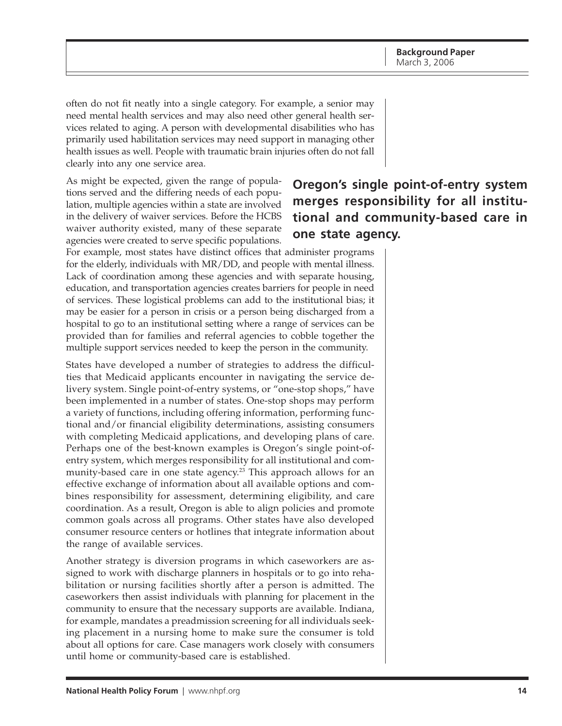often do not fit neatly into a single category. For example, a senior may need mental health services and may also need other general health services related to aging. A person with developmental disabilities who has primarily used habilitation services may need support in managing other health issues as well. People with traumatic brain injuries often do not fall clearly into any one service area.

As might be expected, given the range of populations served and the differing needs of each population, multiple agencies within a state are involved in the delivery of waiver services. Before the HCBS waiver authority existed, many of these separate agencies were created to serve specific populations.

# **Oregon's single point-of-entry system merges responsibility for all institutional and community-based care in one state agency.**

For example, most states have distinct offices that administer programs for the elderly, individuals with MR/DD, and people with mental illness. Lack of coordination among these agencies and with separate housing, education, and transportation agencies creates barriers for people in need of services. These logistical problems can add to the institutional bias; it may be easier for a person in crisis or a person being discharged from a hospital to go to an institutional setting where a range of services can be provided than for families and referral agencies to cobble together the multiple support services needed to keep the person in the community.

States have developed a number of strategies to address the difficulties that Medicaid applicants encounter in navigating the service delivery system. Single point-of-entry systems, or "one-stop shops," have been implemented in a number of states. One-stop shops may perform a variety of functions, including offering information, performing functional and/or financial eligibility determinations, assisting consumers with completing Medicaid applications, and developing plans of care. Perhaps one of the best-known examples is Oregon's single point-ofentry system, which merges responsibility for all institutional and community-based care in one state agency.<sup>23</sup> This approach allows for an effective exchange of information about all available options and combines responsibility for assessment, determining eligibility, and care coordination. As a result, Oregon is able to align policies and promote common goals across all programs. Other states have also developed consumer resource centers or hotlines that integrate information about the range of available services.

Another strategy is diversion programs in which caseworkers are assigned to work with discharge planners in hospitals or to go into rehabilitation or nursing facilities shortly after a person is admitted. The caseworkers then assist individuals with planning for placement in the community to ensure that the necessary supports are available. Indiana, for example, mandates a preadmission screening for all individuals seeking placement in a nursing home to make sure the consumer is told about all options for care. Case managers work closely with consumers until home or community-based care is established.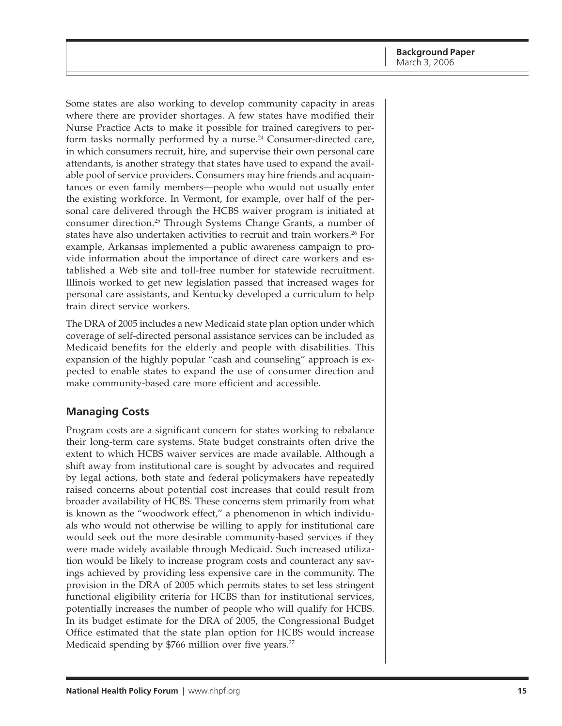<span id="page-14-0"></span>Some states are also working to develop community capacity in areas where there are provider shortages. A few states have modified their Nurse Practice Acts to make it possible for trained caregivers to perform tasks normally performed by a nurse.<sup>24</sup> Consumer-directed care, in which consumers recruit, hire, and supervise their own personal care attendants, is another strategy that states have used to expand the available pool of service providers. Consumers may hire friends and acquaintances or even family members—people who would not usually enter the existing workforce. In Vermont, for example, over half of the personal care delivered through the HCBS waiver program is initiated at consumer direction.25 Through Systems Change Grants, a number of states have also undertaken activities to recruit and train workers.26 For example, Arkansas implemented a public awareness campaign to provide information about the importance of direct care workers and established a Web site and toll-free number for statewide recruitment. Illinois worked to get new legislation passed that increased wages for personal care assistants, and Kentucky developed a curriculum to help train direct service workers.

The DRA of 2005 includes a new Medicaid state plan option under which coverage of self-directed personal assistance services can be included as Medicaid benefits for the elderly and people with disabilities. This expansion of the highly popular "cash and counseling" approach is expected to enable states to expand the use of consumer direction and make community-based care more efficient and accessible.

#### **Managing Costs**

Program costs are a significant concern for states working to rebalance their long-term care systems. State budget constraints often drive the extent to which HCBS waiver services are made available. Although a shift away from institutional care is sought by advocates and required by legal actions, both state and federal policymakers have repeatedly raised concerns about potential cost increases that could result from broader availability of HCBS. These concerns stem primarily from what is known as the "woodwork effect," a phenomenon in which individuals who would not otherwise be willing to apply for institutional care would seek out the more desirable community-based services if they were made widely available through Medicaid. Such increased utilization would be likely to increase program costs and counteract any savings achieved by providing less expensive care in the community. The provision in the DRA of 2005 which permits states to set less stringent functional eligibility criteria for HCBS than for institutional services, potentially increases the number of people who will qualify for HCBS. In its budget estimate for the DRA of 2005, the Congressional Budget Office estimated that the state plan option for HCBS would increase Medicaid spending by \$766 million over five years.<sup>27</sup>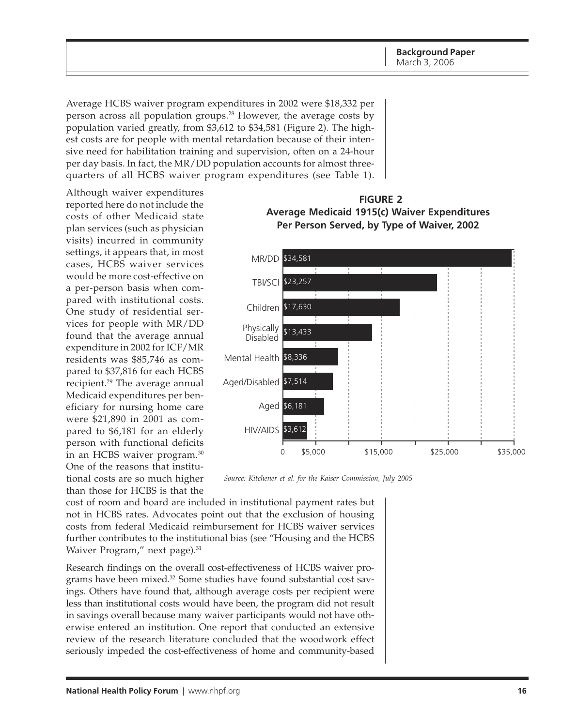<span id="page-15-0"></span>Average HCBS waiver program expenditures in 2002 were \$18,332 per person across all population groups.<sup>28</sup> However, the average costs by population varied greatly, from \$3,612 to \$34,581 (Figure 2). The highest costs are for people with mental retardation because of their intensive need for habilitation training and supervision, often on a 24-hour per day basis. In fact, the MR/DD population accounts for almost threequarters of all HCBS waiver program expenditures (see Table 1).

Although waiver expenditures reported here do not include the costs of other Medicaid state plan services (such as physician visits) incurred in community settings, it appears that, in most cases, HCBS waiver services would be more cost-effective on a per-person basis when compared with institutional costs. One study of residential services for people with MR/DD found that the average annual expenditure in 2002 for ICF/MR residents was \$85,746 as compared to \$37,816 for each HCBS recipient.29 The average annual Medicaid expenditures per beneficiary for nursing home care were \$21,890 in 2001 as compared to \$6,181 for an elderly person with functional deficits in an HCBS waiver program.30 One of the reasons that institutional costs are so much higher than those for HCBS is that the



**FIGURE 2**



*Source: Kitchener et al. for the Kaiser Commission, July 2005*

cost of room and board are included in institutional payment rates but not in HCBS rates. Advocates point out that the exclusion of housing costs from federal Medicaid reimbursement for HCBS waiver services further contributes to the institutional bias (see "Housing and the HCBS Waiver Program," next page).<sup>31</sup>

Research findings on the overall cost-effectiveness of HCBS waiver programs have been mixed.<sup>32</sup> Some studies have found substantial cost savings. Others have found that, although average costs per recipient were less than institutional costs would have been, the program did not result in savings overall because many waiver participants would not have otherwise entered an institution. One report that conducted an extensive review of the research literature concluded that the woodwork effect seriously impeded the cost-effectiveness of home and community-based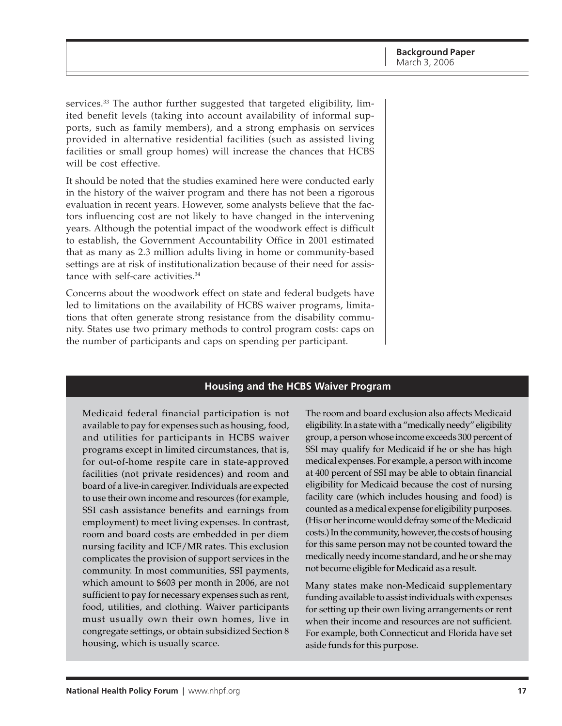services.<sup>33</sup> The author further suggested that targeted eligibility, limited benefit levels (taking into account availability of informal supports, such as family members), and a strong emphasis on services provided in alternative residential facilities (such as assisted living facilities or small group homes) will increase the chances that HCBS will be cost effective.

It should be noted that the studies examined here were conducted early in the history of the waiver program and there has not been a rigorous evaluation in recent years. However, some analysts believe that the factors influencing cost are not likely to have changed in the intervening years. Although the potential impact of the woodwork effect is difficult to establish, the Government Accountability Office in 2001 estimated that as many as 2.3 million adults living in home or community-based settings are at risk of institutionalization because of their need for assistance with self-care activities.34

Concerns about the woodwork effect on state and federal budgets have led to limitations on the availability of HCBS waiver programs, limitations that often generate strong resistance from the disability community. States use two primary methods to control program costs: caps on the number of participants and caps on spending per participant.

#### **Housing and the HCBS Waiver Program**

Medicaid federal financial participation is not available to pay for expenses such as housing, food, and utilities for participants in HCBS waiver programs except in limited circumstances, that is, for out-of-home respite care in state-approved facilities (not private residences) and room and board of a live-in caregiver. Individuals are expected to use their own income and resources (for example, SSI cash assistance benefits and earnings from employment) to meet living expenses. In contrast, room and board costs are embedded in per diem nursing facility and ICF/MR rates. This exclusion complicates the provision of support services in the community. In most communities, SSI payments, which amount to \$603 per month in 2006, are not sufficient to pay for necessary expenses such as rent, food, utilities, and clothing. Waiver participants must usually own their own homes, live in congregate settings, or obtain subsidized Section 8 housing, which is usually scarce.

The room and board exclusion also affects Medicaid eligibility. In a state with a "medically needy" eligibility group, a person whose income exceeds 300 percent of SSI may qualify for Medicaid if he or she has high medical expenses. For example, a person with income at 400 percent of SSI may be able to obtain financial eligibility for Medicaid because the cost of nursing facility care (which includes housing and food) is counted as a medical expense for eligibility purposes. (His or her income would defray some of the Medicaid costs.) In the community, however, the costs of housing for this same person may not be counted toward the medically needy income standard, and he or she may not become eligible for Medicaid as a result.

Many states make non-Medicaid supplementary funding available to assist individuals with expenses for setting up their own living arrangements or rent when their income and resources are not sufficient. For example, both Connecticut and Florida have set aside funds for this purpose.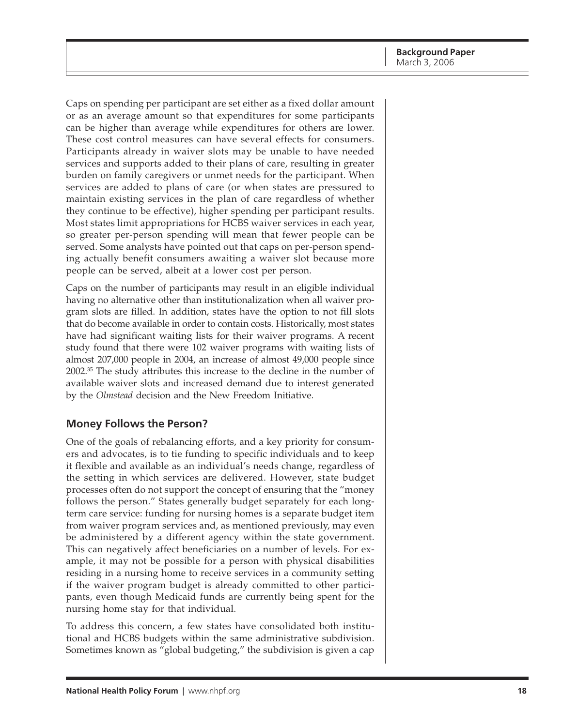<span id="page-17-0"></span>Caps on spending per participant are set either as a fixed dollar amount or as an average amount so that expenditures for some participants can be higher than average while expenditures for others are lower. These cost control measures can have several effects for consumers. Participants already in waiver slots may be unable to have needed services and supports added to their plans of care, resulting in greater burden on family caregivers or unmet needs for the participant. When services are added to plans of care (or when states are pressured to maintain existing services in the plan of care regardless of whether they continue to be effective), higher spending per participant results. Most states limit appropriations for HCBS waiver services in each year, so greater per-person spending will mean that fewer people can be served. Some analysts have pointed out that caps on per-person spending actually benefit consumers awaiting a waiver slot because more people can be served, albeit at a lower cost per person.

Caps on the number of participants may result in an eligible individual having no alternative other than institutionalization when all waiver program slots are filled. In addition, states have the option to not fill slots that do become available in order to contain costs. Historically, most states have had significant waiting lists for their waiver programs. A recent study found that there were 102 waiver programs with waiting lists of almost 207,000 people in 2004, an increase of almost 49,000 people since 2002.35 The study attributes this increase to the decline in the number of available waiver slots and increased demand due to interest generated by the *Olmstead* decision and the New Freedom Initiative.

#### **Money Follows the Person?**

One of the goals of rebalancing efforts, and a key priority for consumers and advocates, is to tie funding to specific individuals and to keep it flexible and available as an individual's needs change, regardless of the setting in which services are delivered. However, state budget processes often do not support the concept of ensuring that the "money follows the person." States generally budget separately for each longterm care service: funding for nursing homes is a separate budget item from waiver program services and, as mentioned previously, may even be administered by a different agency within the state government. This can negatively affect beneficiaries on a number of levels. For example, it may not be possible for a person with physical disabilities residing in a nursing home to receive services in a community setting if the waiver program budget is already committed to other participants, even though Medicaid funds are currently being spent for the nursing home stay for that individual.

To address this concern, a few states have consolidated both institutional and HCBS budgets within the same administrative subdivision. Sometimes known as "global budgeting," the subdivision is given a cap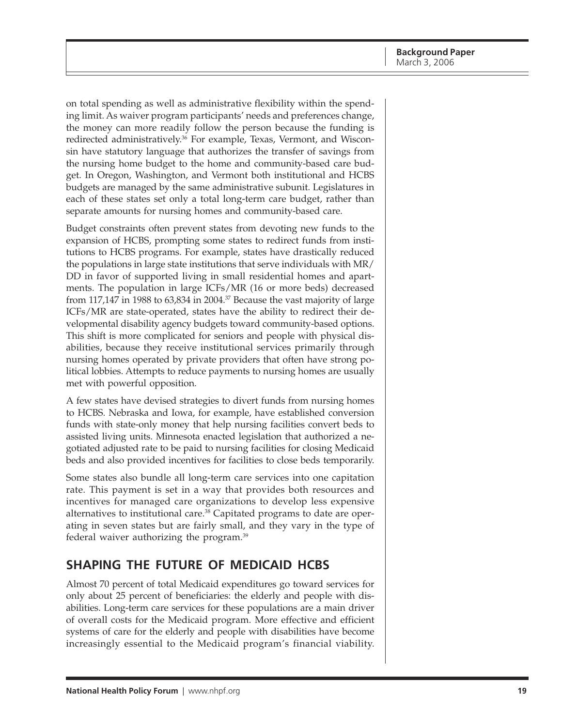<span id="page-18-0"></span>on total spending as well as administrative flexibility within the spending limit. As waiver program participants' needs and preferences change, the money can more readily follow the person because the funding is redirected administratively.<sup>36</sup> For example, Texas, Vermont, and Wisconsin have statutory language that authorizes the transfer of savings from the nursing home budget to the home and community-based care budget. In Oregon, Washington, and Vermont both institutional and HCBS budgets are managed by the same administrative subunit. Legislatures in each of these states set only a total long-term care budget, rather than separate amounts for nursing homes and community-based care.

Budget constraints often prevent states from devoting new funds to the expansion of HCBS, prompting some states to redirect funds from institutions to HCBS programs. For example, states have drastically reduced the populations in large state institutions that serve individuals with MR/ DD in favor of supported living in small residential homes and apartments. The population in large ICFs/MR (16 or more beds) decreased from 117,147 in 1988 to 63,834 in 2004.<sup>37</sup> Because the vast majority of large ICFs/MR are state-operated, states have the ability to redirect their developmental disability agency budgets toward community-based options. This shift is more complicated for seniors and people with physical disabilities, because they receive institutional services primarily through nursing homes operated by private providers that often have strong political lobbies. Attempts to reduce payments to nursing homes are usually met with powerful opposition.

A few states have devised strategies to divert funds from nursing homes to HCBS. Nebraska and Iowa, for example, have established conversion funds with state-only money that help nursing facilities convert beds to assisted living units. Minnesota enacted legislation that authorized a negotiated adjusted rate to be paid to nursing facilities for closing Medicaid beds and also provided incentives for facilities to close beds temporarily.

Some states also bundle all long-term care services into one capitation rate. This payment is set in a way that provides both resources and incentives for managed care organizations to develop less expensive alternatives to institutional care.38 Capitated programs to date are operating in seven states but are fairly small, and they vary in the type of federal waiver authorizing the program.39

## **SHAPING THE FUTURE OF MEDICAID HCBS**

Almost 70 percent of total Medicaid expenditures go toward services for only about 25 percent of beneficiaries: the elderly and people with disabilities. Long-term care services for these populations are a main driver of overall costs for the Medicaid program. More effective and efficient systems of care for the elderly and people with disabilities have become increasingly essential to the Medicaid program's financial viability.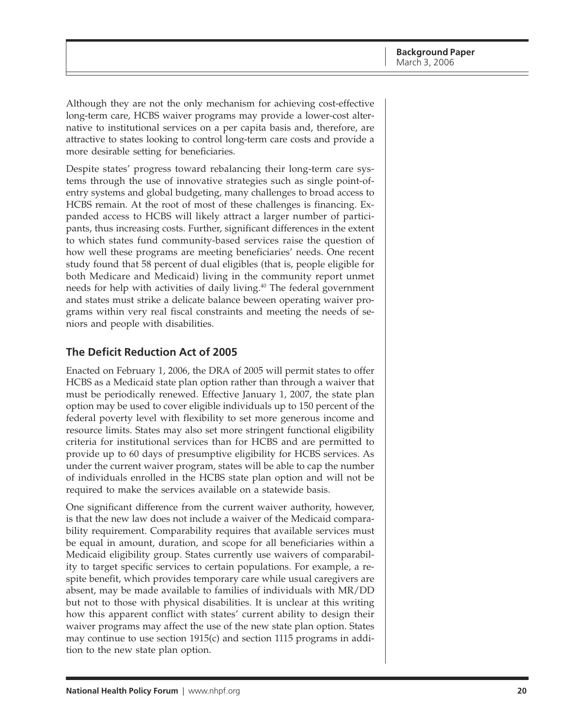<span id="page-19-0"></span>Although they are not the only mechanism for achieving cost-effective long-term care, HCBS waiver programs may provide a lower-cost alternative to institutional services on a per capita basis and, therefore, are attractive to states looking to control long-term care costs and provide a more desirable setting for beneficiaries.

Despite states' progress toward rebalancing their long-term care systems through the use of innovative strategies such as single point-ofentry systems and global budgeting, many challenges to broad access to HCBS remain. At the root of most of these challenges is financing. Expanded access to HCBS will likely attract a larger number of participants, thus increasing costs. Further, significant differences in the extent to which states fund community-based services raise the question of how well these programs are meeting beneficiaries' needs. One recent study found that 58 percent of dual eligibles (that is, people eligible for both Medicare and Medicaid) living in the community report unmet needs for help with activities of daily living.<sup>40</sup> The federal government and states must strike a delicate balance beween operating waiver programs within very real fiscal constraints and meeting the needs of seniors and people with disabilities.

#### **The Deficit Reduction Act of 2005**

Enacted on February 1, 2006, the DRA of 2005 will permit states to offer HCBS as a Medicaid state plan option rather than through a waiver that must be periodically renewed. Effective January 1, 2007, the state plan option may be used to cover eligible individuals up to 150 percent of the federal poverty level with flexibility to set more generous income and resource limits. States may also set more stringent functional eligibility criteria for institutional services than for HCBS and are permitted to provide up to 60 days of presumptive eligibility for HCBS services. As under the current waiver program, states will be able to cap the number of individuals enrolled in the HCBS state plan option and will not be required to make the services available on a statewide basis.

One significant difference from the current waiver authority, however, is that the new law does not include a waiver of the Medicaid comparability requirement. Comparability requires that available services must be equal in amount, duration, and scope for all beneficiaries within a Medicaid eligibility group. States currently use waivers of comparability to target specific services to certain populations. For example, a respite benefit, which provides temporary care while usual caregivers are absent, may be made available to families of individuals with MR/DD but not to those with physical disabilities. It is unclear at this writing how this apparent conflict with states' current ability to design their waiver programs may affect the use of the new state plan option. States may continue to use section 1915(c) and section 1115 programs in addition to the new state plan option.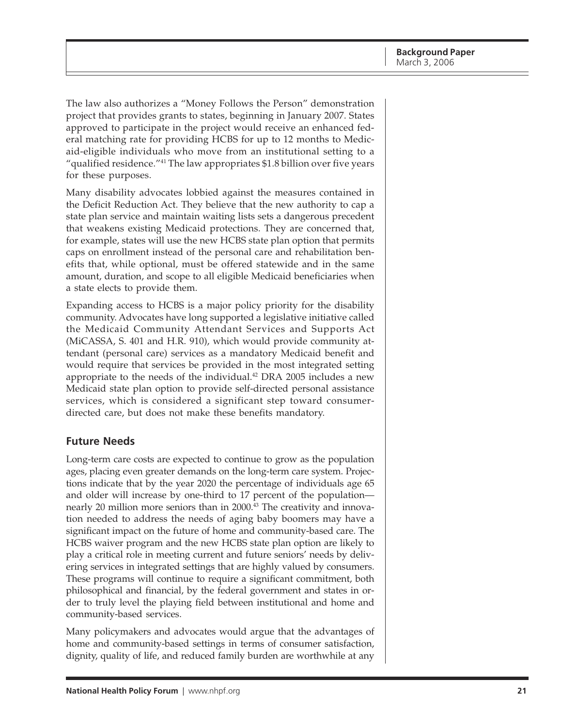<span id="page-20-0"></span>The law also authorizes a "Money Follows the Person" demonstration project that provides grants to states, beginning in January 2007. States approved to participate in the project would receive an enhanced federal matching rate for providing HCBS for up to 12 months to Medicaid-eligible individuals who move from an institutional setting to a "qualified residence."41 The law appropriates \$1.8 billion over five years for these purposes.

Many disability advocates lobbied against the measures contained in the Deficit Reduction Act. They believe that the new authority to cap a state plan service and maintain waiting lists sets a dangerous precedent that weakens existing Medicaid protections. They are concerned that, for example, states will use the new HCBS state plan option that permits caps on enrollment instead of the personal care and rehabilitation benefits that, while optional, must be offered statewide and in the same amount, duration, and scope to all eligible Medicaid beneficiaries when a state elects to provide them.

Expanding access to HCBS is a major policy priority for the disability community. Advocates have long supported a legislative initiative called the Medicaid Community Attendant Services and Supports Act (MiCASSA, S. 401 and H.R. 910), which would provide community attendant (personal care) services as a mandatory Medicaid benefit and would require that services be provided in the most integrated setting appropriate to the needs of the individual.<sup>42</sup> DRA 2005 includes a new Medicaid state plan option to provide self-directed personal assistance services, which is considered a significant step toward consumerdirected care, but does not make these benefits mandatory.

#### **Future Needs**

Long-term care costs are expected to continue to grow as the population ages, placing even greater demands on the long-term care system. Projections indicate that by the year 2020 the percentage of individuals age 65 and older will increase by one-third to 17 percent of the population nearly 20 million more seniors than in 2000.<sup>43</sup> The creativity and innovation needed to address the needs of aging baby boomers may have a significant impact on the future of home and community-based care. The HCBS waiver program and the new HCBS state plan option are likely to play a critical role in meeting current and future seniors' needs by delivering services in integrated settings that are highly valued by consumers. These programs will continue to require a significant commitment, both philosophical and financial, by the federal government and states in order to truly level the playing field between institutional and home and community-based services.

Many policymakers and advocates would argue that the advantages of home and community-based settings in terms of consumer satisfaction, dignity, quality of life, and reduced family burden are worthwhile at any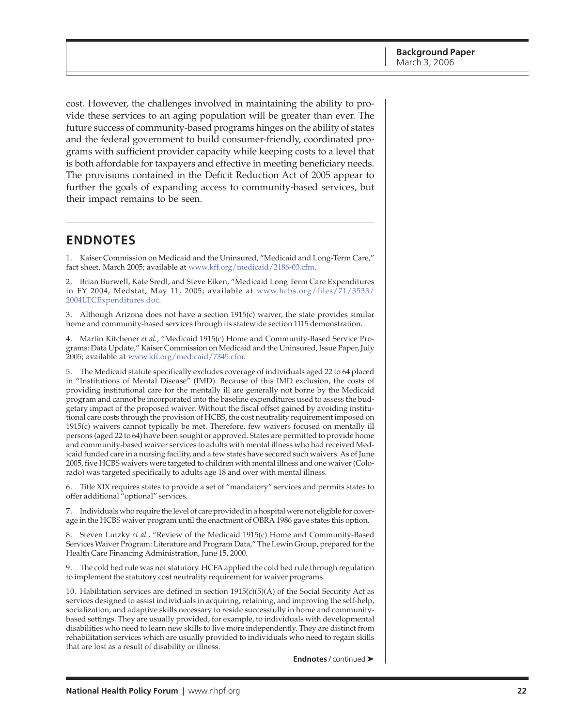<span id="page-21-0"></span>cost. However, the challenges involved in maintaining the ability to provide these services to an aging population will be greater than ever. The future success of community-based programs hinges on the ability of states and the federal government to build consumer-friendly, coordinated programs with sufficient provider capacity while keeping costs to a level that is both affordable for taxpayers and effective in meeting beneficiary needs. The provisions contained in the Deficit Reduction Act of 2005 appear to further the goals of expanding access to community-based services, but their impact remains to be seen.

### **ENDNOTES**

1. Kaiser Commission on Medicaid and the Uninsured, "Medicaid and Long-Term Care," fact sheet, March 2005; available at [www.kff.org/medicaid/2186-03.cfm.](http://www.kff.org/medicaid/2186-03.cfm)

2. Brian Burwell, Kate Sredl, and Steve Eiken, "Medicaid Long Term Care Expenditures [in FY 2004, Medstat, May 11, 2005; available at www.hcbs.org/files/71/3533/](http://www.hcbs.org/files/71/3533/2004LTCExpenditures.doc) 2004LTCExpenditures.doc.

3. Although Arizona does not have a section 1915(c) waiver, the state provides similar home and community-based services through its statewide section 1115 demonstration.

4. Martin Kitchener *et al.*, "Medicaid 1915(c) Home and Community-Based Service Programs: Data Update," Kaiser Commission on Medicaid and the Uninsured, Issue Paper, July 2005; available at [www.kff.org/medicaid/7345.cfm.](http://www.kff.org/medicaid/7345.cfm)

5. The Medicaid statute specifically excludes coverage of individuals aged 22 to 64 placed in "Institutions of Mental Disease" (IMD). Because of this IMD exclusion, the costs of providing institutional care for the mentally ill are generally not borne by the Medicaid program and cannot be incorporated into the baseline expenditures used to assess the budgetary impact of the proposed waiver. Without the fiscal offset gained by avoiding institutional care costs through the provision of HCBS, the cost neutrality requirement imposed on 1915(c) waivers cannot typically be met. Therefore, few waivers focused on mentally ill persons (aged 22 to 64) have been sought or approved. States are permitted to provide home and community-based waiver services to adults with mental illness who had received Medicaid funded care in a nursing facility, and a few states have secured such waivers. As of June 2005, five HCBS waivers were targeted to children with mental illness and one waiver (Colorado) was targeted specifically to adults age 18 and over with mental illness.

6. Title XIX requires states to provide a set of "mandatory" services and permits states to offer additional "optional" services.

7. Individuals who require the level of care provided in a hospital were not eligible for coverage in the HCBS waiver program until the enactment of OBRA 1986 gave states this option.

8. Steven Lutzky *et al.*, "Review of the Medicaid 1915(c) Home and Community-Based Services Waiver Program: Literature and Program Data," The Lewin Group, prepared for the Health Care Financing Administration, June 15, 2000.

9. The cold bed rule was not statutory. HCFA applied the cold bed rule through regulation to implement the statutory cost neutrality requirement for waiver programs.

10. Habilitation services are defined in section 1915(c)(5)(A) of the Social Security Act as services designed to assist individuals in acquiring, retaining, and improving the self-help, socialization, and adaptive skills necessary to reside successfully in home and communitybased settings. They are usually provided, for example, to individuals with developmental disabilities who need to learn new skills to live more independently. They are distinct from rehabilitation services which are usually provided to individuals who need to regain skills that are lost as a result of disability or illness.

**Endnotes** / continued ➤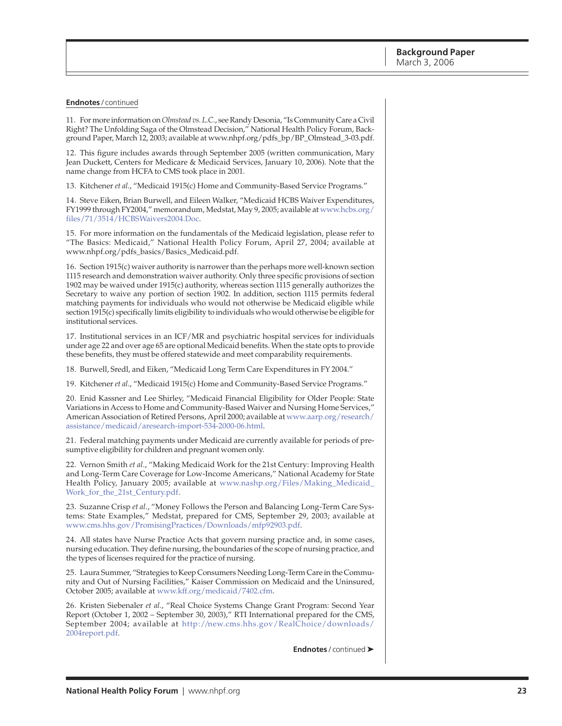#### **Endnotes** / continued

11. For more information on *Olmstead vs. L.C.*, see Randy Desonia, "Is Community Care a Civil Right? The Unfolding Saga of the Olmstead Decision," National Health Policy Forum, Background Paper, March 12, 2003; available at [www.nhpf.org/pdfs\\_bp/BP\\_Olmstead\\_3-03.pdf.](http://www.nhpf.org/pdfs_bp/BP_Olmstead_3-03.pdf)

12. This figure includes awards through September 2005 (written communication, Mary Jean Duckett, Centers for Medicare & Medicaid Services, January 10, 2006). Note that the name change from HCFA to CMS took place in 2001.

13. Kitchener *et al.*, "Medicaid 1915(c) Home and Community-Based Service Programs."

14. Steve Eiken, Brian Burwell, and Eileen Walker, "Medicaid HCBS Waiver Expenditures, [FY1999 through FY2004," memorandum, Medstat, May 9, 2005; available at www.hcbs.org/](http://www.hcbs.org/files/71/3514/HCBSWaivers2004.Doc) files/71/3514/HCBSWaivers2004.Doc.

15. For more information on the fundamentals of the Medicaid legislation, please refer to "The Basics: Medicaid," National Health Policy Forum, April 27, 2004; available at [www.nhpf.org/pdfs\\_basics/Basics\\_Medicaid.pdf.](http://www.nhpf.org/pdfs_basics/Basics_Medicaid.pdf)

16. Section 1915(c) waiver authority is narrower than the perhaps more well-known section 1115 research and demonstration waiver authority. Only three specific provisions of section 1902 may be waived under 1915(c) authority, whereas section 1115 generally authorizes the Secretary to waive any portion of section 1902. In addition, section 1115 permits federal matching payments for individuals who would not otherwise be Medicaid eligible while section 1915(c) specifically limits eligibility to individuals who would otherwise be eligible for institutional services.

17. Institutional services in an ICF/MR and psychiatric hospital services for individuals under age 22 and over age 65 are optional Medicaid benefits. When the state opts to provide these benefits, they must be offered statewide and meet comparability requirements.

18. Burwell, Sredl, and Eiken, "Medicaid Long Term Care Expenditures in FY 2004."

19. Kitchener *et al*., "Medicaid 1915(c) Home and Community-Based Service Programs."

20. Enid Kassner and Lee Shirley, "Medicaid Financial Eligibility for Older People: State Variations in Access to Home and Community-Based Waiver and Nursing Home Services," [American Association of Retired Persons, April 2000; available at www.aarp.org/research/](http://www.aarp.org/research/assistance/medicaid/aresearch-import-534-2000-06.html) assistance/medicaid/aresearch-import-534-2000-06.html.

21. Federal matching payments under Medicaid are currently available for periods of presumptive eligibility for children and pregnant women only.

22. Vernon Smith *et al.*, "Making Medicaid Work for the 21st Century: Improving Health and Long-Term Care Coverage for Low-Income Americans," National Academy for State [Health Policy, January 2005; available at www.nashp.org/Files/Making\\_Medicaid\\_](http://www.nashp.org/Files/Making_Medicaid_Work_for_the_21st_Century.pdf) Work\_for\_the\_21st\_Century.pdf.

23. Suzanne Crisp *et al.*, "Money Follows the Person and Balancing Long-Term Care Systems: State Examples," Medstat, prepared for CMS, September 29, 2003; available at [www.cms.hhs.gov/PromisingPractices/Downloads/mfp92903.pdf.](http://www.cms.hhs.gov/PromisingPractices/Downloads/mfp92903.pdf)

24. All states have Nurse Practice Acts that govern nursing practice and, in some cases, nursing education. They define nursing, the boundaries of the scope of nursing practice, and the types of licenses required for the practice of nursing.

25. Laura Summer, "Strategies to Keep Consumers Needing Long-Term Care in the Community and Out of Nursing Facilities," Kaiser Commission on Medicaid and the Uninsured, October 2005; available at [www.kff.org/medicaid/7402.cfm.](http://www.kff.org/medicaid/7402.cfm)

26. Kristen Siebenaler *et al.*, "Real Choice Systems Change Grant Program: Second Year Report (October 1, 2002 – September 30, 2003)," RTI International prepared for the CMS, [September 2004; available at http://new.cms.hhs.gov/RealChoice/downloads/](http://new.cms.hhs.gov/RealChoice/downloads/2004report.pdf) 2004report.pdf.

**Endnotes** / continued ➤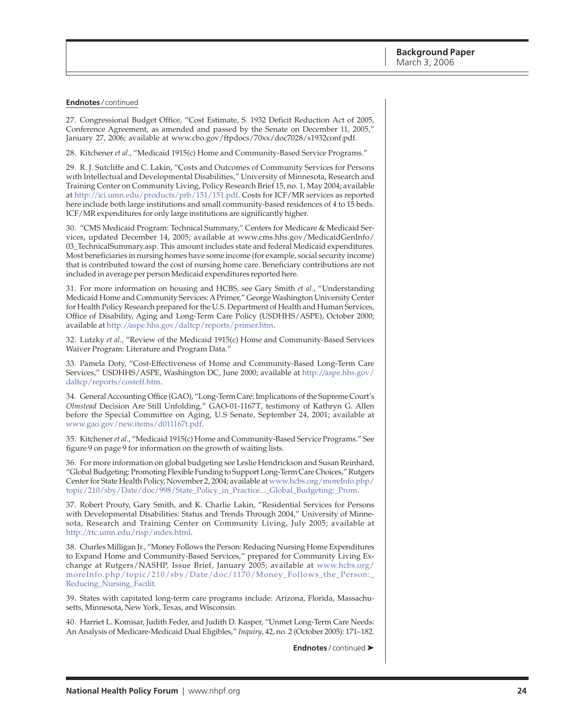#### **Endnotes** / continued

27. Congressional Budget Office, "Cost Estimate, S. 1932 Deficit Reduction Act of 2005, Conference Agreement, as amended and passed by the Senate on December 11, 2005," January 27, 2006; available at [www.cbo.gov/ftpdocs/70xx/doc7028/s1932conf.pdf.](http://www.cbo.gov/ftpdocs/70xx/doc7028/s1932conf.pdf)

28. Kitchener *et al*., "Medicaid 1915(c) Home and Community-Based Service Programs."

29. R. J. Sutcliffe and C. Lakin, "Costs and Outcomes of Community Services for Persons with Intellectual and Developmental Disabilities," University of Minnesota, Research and Training Center on Community Living, Policy Research Brief 15, no. 1, May 2004; available at [http://ici.umn.edu/products/prb/151/151.pdf.](http://ici.umn.edu/products/prb/151/151.pdf) Costs for ICF/MR services as reported here include both large institutions and small community-based residences of 4 to 15 beds. ICF/MR expenditures for only large institutions are significantly higher.

30. "CMS Medicaid Program: Technical Summary," Centers for Medicare & Medicaid Services, updated December 14, 2005; available at www.cms.hhs.gov/MedicaidGenInfo/ [03\\_TechnicalSummary.asp. This amount includes state and federal Medicaid expenditures.](http://www.cms.hhs.gov/MedicaidGenInfo/03_TechnicalSummary.asp) Most beneficiaries in nursing homes have some income (for example, social security income) that is contributed toward the cost of nursing home care. Beneficiary contributions are not included in average per person Medicaid expenditures reported here.

31. For more information on housing and HCBS, see Gary Smith *et al.*, "Understanding Medicaid Home and Community Services: A Primer," George Washington University Center for Health Policy Research prepared for the U.S. Department of Health and Human Services, Office of Disability, Aging and Long-Term Care Policy (USDHHS/ASPE), October 2000; available at [http://aspe.hhs.gov/daltcp/reports/primer.htm.](http://aspe.hhs.gov/daltcp/reports/primer.htm)

32. Lutzky *et al.,* "Review of the Medicaid 1915(c) Home and Community-Based Services Waiver Program: Literature and Program Data."

33. Pamela Doty, "Cost-Effectiveness of Home and Community-Based Long-Term Care [Services," USDHHS/ASPE, Washington DC, June 2000; available at http://aspe.hhs.gov/](http://aspe.hhs.gov/daltcp/reports/costeff.htm) daltcp/reports/costeff.htm.

34. General Accounting Office (GAO), "Long-Term Care: Implications of the Supreme Court's *Olmstead* Decision Are Still Unfolding," GAO-01-1167T, testimony of Kathryn G. Allen before the Special Committee on Aging, U.S Senate, September 24, 2001; available at [www.gao.gov/new.items/d011167t.pdf.](http://www.gao.gov/new.items/d011167t.pdf)

35. Kitchener *et al.*, "Medicaid 1915(c) Home and Community-Based Service Programs." See figure 9 on page 9 for information on the growth of waiting lists.

36. For more information on global budgeting see Leslie Hendrickson and Susan Reinhard, "Global Budgeting: Promoting Flexible Funding to Support Long-Term Care Choices," Rutgers [Center for State Health Policy, November 2, 2004; available at www.hcbs.org/moreInfo.php/](http://www.hcbs.org/moreInfo.php/topic/210/sby/Date/doc/998/State_Policy_in_Practice..._Global_Budgeting:_Prom) topic/210/sby/Date/doc/998/State\_Policy\_in\_Practice...\_Global\_Budgeting:\_Prom.

37. Robert Prouty, Gary Smith, and K. Charlie Lakin, "Residential Services for Persons with Developmental Disabilities: Status and Trends Through 2004," University of Minnesota, Research and Training Center on Community Living, July 2005; available at [http://rtc.umn.edu/risp/index.html.](http://rtc.umn.edu/risp/index.html)

38. Charles Milligan Jr., "Money Follows the Person: Reducing Nursing Home Expenditures to Expand Home and Community-Based Services," prepared for Community Living Exchange at Rutgers/NASHP, Issue Brief, January 2005; available at www.hcbs.org/ [moreInfo.php/topic/210/sby/Date/doc/1170/Money\\_Follows\\_the\\_Person:\\_](http://www.hcbs.org/moreInfo.php/topic/210/sby/Date/doc/1170/Money_Follows_the_Person:_Reducing_Nursing_Facilit) Reducing\_Nursing\_Facilit.

39. States with capitated long-term care programs include: Arizona, Florida, Massachusetts, Minnesota, New York, Texas, and Wisconsin.

40. Harriet L. Komisar, Judith Feder, and Judith D. Kasper, "Unmet Long-Term Care Needs: An Analysis of Medicare-Medicaid Dual Eligibles," *Inquiry*, 42, no. 2 (October 2005): 171–182.

**Endnotes** / continued ➤